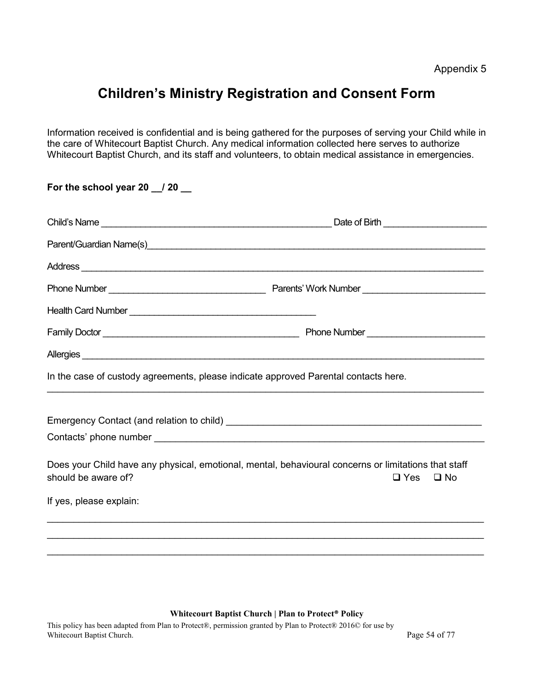# Children's Ministry Registration and Consent Form

Information received is confidential and is being gathered for the purposes of serving your Child while in the care of Whitecourt Baptist Church. Any medical information collected here serves to authorize Whitecourt Baptist Church, and its staff and volunteers, to obtain medical assistance in emergencies.

|                     | Date of Birth _________________________                                                                                                                                                                                                |
|---------------------|----------------------------------------------------------------------------------------------------------------------------------------------------------------------------------------------------------------------------------------|
|                     |                                                                                                                                                                                                                                        |
|                     | Address <b>contract to the contract of the contract of the contract of the contract of the contract of the contract of the contract of the contract of the contract of the contract of the contract of the contract of the contr</b>   |
|                     |                                                                                                                                                                                                                                        |
|                     |                                                                                                                                                                                                                                        |
|                     |                                                                                                                                                                                                                                        |
|                     | Allergies<br><u>La componente de la componente de la componente de la componente de la componente de la componente de la componente de la componente de la componente de la componente de la componente de la componente de la com</u> |
|                     | In the case of custody agreements, please indicate approved Parental contacts here.                                                                                                                                                    |
|                     |                                                                                                                                                                                                                                        |
|                     |                                                                                                                                                                                                                                        |
|                     |                                                                                                                                                                                                                                        |
| should be aware of? | Does your Child have any physical, emotional, mental, behavioural concerns or limitations that staff<br>$\square$ Yes<br>$\square$ No                                                                                                  |

#### Whitecourt Baptist Church | Plan to Protect® Policy

This policy has been adapted from Plan to Protect®, permission granted by Plan to Protect® 2016© for use by Whitecourt Baptist Church. Page 54 of 77